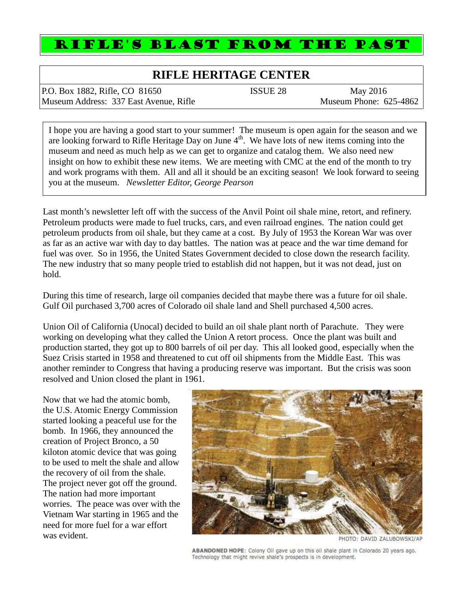# RIFLE'S BLAST FROM THE PAST

## **RIFLE HERITAGE CENTER**

P.O. Box 1882, Rifle, CO 81650 **ISSUE 28** May 2016 Museum Address: 337 East Avenue, Rifle Museum Phone: 625-4862

I hope you are having a good start to your summer! The museum is open again for the season and we are looking forward to Rifle Heritage Day on June  $4<sup>th</sup>$ . We have lots of new items coming into the museum and need as much help as we can get to organize and catalog them. We also need new insight on how to exhibit these new items. We are meeting with CMC at the end of the month to try and work programs with them. All and all it should be an exciting season! We look forward to seeing you at the museum. *Newsletter Editor, George Pearson*

Last month's newsletter left off with the success of the Anvil Point oil shale mine, retort, and refinery. Petroleum products were made to fuel trucks, cars, and even railroad engines. The nation could get petroleum products from oil shale, but they came at a cost. By July of 1953 the Korean War was over as far as an active war with day to day battles. The nation was at peace and the war time demand for fuel was over. So in 1956, the United States Government decided to close down the research facility. The new industry that so many people tried to establish did not happen, but it was not dead, just on hold.

During this time of research, large oil companies decided that maybe there was a future for oil shale. Gulf Oil purchased 3,700 acres of Colorado oil shale land and Shell purchased 4,500 acres.

Union Oil of California (Unocal) decided to build an oil shale plant north of Parachute. They were working on developing what they called the Union A retort process. Once the plant was built and production started, they got up to 800 barrels of oil per day. This all looked good, especially when the Suez Crisis started in 1958 and threatened to cut off oil shipments from the Middle East. This was another reminder to Congress that having a producing reserve was important. But the crisis was soon resolved and Union closed the plant in 1961.

Now that we had the atomic bomb, the U.S. Atomic Energy Commission started looking a peaceful use for the bomb. In 1966, they announced the creation of Project Bronco, a 50 kiloton atomic device that was going to be used to melt the shale and allow the recovery of oil from the shale. The project never got off the ground. The nation had more important worries. The peace was over with the Vietnam War starting in 1965 and the need for more fuel for a war effort was evident.



PHOTO: DAVID ZALUBOWSKI/AP

ABANDONED HOPE: Colony Oil gave up on this oil shale plant in Colorado 20 years ago.<br>Technology that might revive shale's prospects is in development.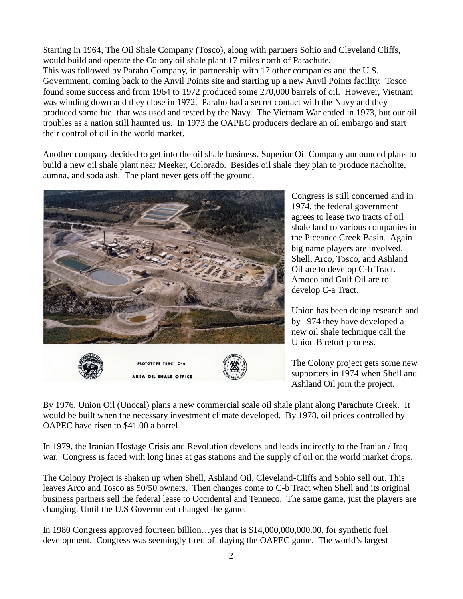Starting in 1964, The Oil Shale Company (Tosco), along with partners Sohio and Cleveland Cliffs, would build and operate the Colony oil shale plant 17 miles north of Parachute. This was followed by Paraho Company, in partnership with 17 other companies and the U.S. Government, coming back to the Anvil Points site and starting up a new Anvil Points facility. Tosco found some success and from 1964 to 1972 produced some 270,000 barrels of oil. However, Vietnam was winding down and they close in 1972. Paraho had a secret contact with the Navy and they produced some fuel that was used and tested by the Navy. The Vietnam War ended in 1973, but our oil troubles as a nation still haunted us. In 1973 the OAPEC producers declare an oil embargo and start their control of oil in the world market.

Another company decided to get into the oil shale business. Superior Oil Company announced plans to build a new oil shale plant near Meeker, Colorado. Besides oil shale they plan to produce nacholite, aumna, and soda ash. The plant never gets off the ground.



Congress is still concerned and in 1974, the federal government agrees to lease two tracts of oil shale land to various companies in the Piceance Creek Basin. Again big name players are involved. Shell, Arco, Tosco, and Ashland Oil are to develop C-b Tract. Amoco and Gulf Oil are to develop C-a Tract.

Union has been doing research and by 1974 they have developed a new oil shale technique call the Union B retort process.

The Colony project gets some new supporters in 1974 when Shell and Ashland Oil join the project.

By 1976, Union Oil (Unocal) plans a new commercial scale oil shale plant along Parachute Creek. It would be built when the necessary investment climate developed. By 1978, oil prices controlled by OAPEC have risen to \$41.00 a barrel.

In 1979, the Iranian Hostage Crisis and Revolution develops and leads indirectly to the Iranian / Iraq war. Congress is faced with long lines at gas stations and the supply of oil on the world market drops.

The Colony Project is shaken up when Shell, Ashland Oil, Cleveland-Cliffs and Sohio sell out. This leaves Arco and Tosco as 50/50 owners. Then changes come to C-b Tract when Shell and its original business partners sell the federal lease to Occidental and Tenneco. The same game, just the players are changing. Until the U.S Government changed the game.

In 1980 Congress approved fourteen billion…yes that is \$14,000,000,000.00, for synthetic fuel development. Congress was seemingly tired of playing the OAPEC game. The world's largest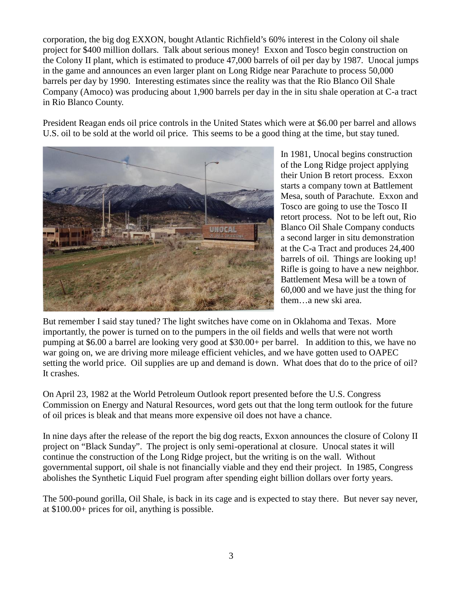corporation, the big dog EXXON, bought Atlantic Richfield's 60% interest in the Colony oil shale project for \$400 million dollars. Talk about serious money! Exxon and Tosco begin construction on the Colony II plant, which is estimated to produce 47,000 barrels of oil per day by 1987. Unocal jumps in the game and announces an even larger plant on Long Ridge near Parachute to process 50,000 barrels per day by 1990. Interesting estimates since the reality was that the Rio Blanco Oil Shale Company (Amoco) was producing about 1,900 barrels per day in the in situ shale operation at C-a tract in Rio Blanco County.

President Reagan ends oil price controls in the United States which were at \$6.00 per barrel and allows U.S. oil to be sold at the world oil price. This seems to be a good thing at the time, but stay tuned.



In 1981, Unocal begins construction of the Long Ridge project applying their Union B retort process. Exxon starts a company town at Battlement Mesa, south of Parachute. Exxon and Tosco are going to use the Tosco II retort process. Not to be left out, Rio Blanco Oil Shale Company conducts a second larger in situ demonstration at the C-a Tract and produces 24,400 barrels of oil. Things are looking up! Rifle is going to have a new neighbor. Battlement Mesa will be a town of 60,000 and we have just the thing for them…a new ski area.

But remember I said stay tuned? The light switches have come on in Oklahoma and Texas. More importantly, the power is turned on to the pumpers in the oil fields and wells that were not worth pumping at \$6.00 a barrel are looking very good at \$30.00+ per barrel. In addition to this, we have no war going on, we are driving more mileage efficient vehicles, and we have gotten used to OAPEC setting the world price. Oil supplies are up and demand is down. What does that do to the price of oil? It crashes.

On April 23, 1982 at the World Petroleum Outlook report presented before the U.S. Congress Commission on Energy and Natural Resources, word gets out that the long term outlook for the future of oil prices is bleak and that means more expensive oil does not have a chance.

In nine days after the release of the report the big dog reacts, Exxon announces the closure of Colony II project on "Black Sunday". The project is only semi-operational at closure. Unocal states it will continue the construction of the Long Ridge project, but the writing is on the wall. Without governmental support, oil shale is not financially viable and they end their project. In 1985, Congress abolishes the Synthetic Liquid Fuel program after spending eight billion dollars over forty years.

The 500-pound gorilla, Oil Shale, is back in its cage and is expected to stay there. But never say never, at \$100.00+ prices for oil, anything is possible.